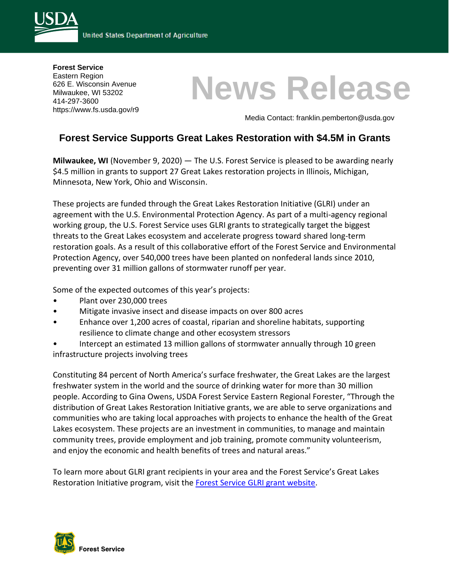

**Forest Service**  Eastern Region 626 E. Wisconsin Avenue Milwaukee, WI 53202 414-297-3600 https://www.fs.usda.gov/r9

# **News Release**

Media Contact: franklin.pemberton@usda.gov

# **Forest Service Supports Great Lakes Restoration with \$4.5M in Grants**

**Milwaukee, WI** (November 9, 2020) — The U.S. Forest Service is pleased to be awarding nearly \$4.5 million in grants to support 27 Great Lakes restoration projects in Illinois, Michigan, Minnesota, New York, Ohio and Wisconsin.

These projects are funded through the Great Lakes Restoration Initiative (GLRI) under an agreement with the U.S. Environmental Protection Agency. As part of a multi-agency regional working group, the U.S. Forest Service uses GLRI grants to strategically target the biggest threats to the Great Lakes ecosystem and accelerate progress toward shared long-term restoration goals. As a result of this collaborative effort of the Forest Service and Environmental Protection Agency, over 540,000 trees have been planted on nonfederal lands since 2010, preventing over 31 million gallons of stormwater runoff per year.

Some of the expected outcomes of this year's projects:

- Plant over 230,000 trees
- Mitigate invasive insect and disease impacts on over 800 acres
- Enhance over 1,200 acres of coastal, riparian and shoreline habitats, supporting resilience to climate change and other ecosystem stressors
- Intercept an estimated 13 million gallons of stormwater annually through 10 green infrastructure projects involving trees

Constituting 84 percent of North America's surface freshwater, the Great Lakes are the largest freshwater system in the world and the source of drinking water for more than 30 million people. According to Gina Owens, USDA Forest Service Eastern Regional Forester, "Through the distribution of Great Lakes Restoration Initiative grants, we are able to serve organizations and communities who are taking local approaches with projects to enhance the health of the Great Lakes ecosystem. These projects are an investment in communities, to manage and maintain community trees, provide employment and job training, promote community volunteerism, and enjoy the economic and health benefits of trees and natural areas."

To learn more about GLRI grant recipients in your area and the Forest Service's Great Lakes Restoration Initiative program, visit the Forest Service [GLRI grant website.](https://www.fs.usda.gov/naspf/working-with-us/grants/great-lakes-restoration-initiative)

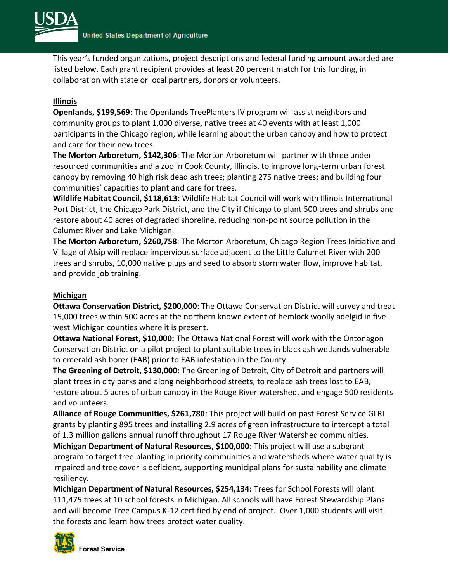

This year's funded organizations, project descriptions and federal funding amount awarded are listed below. Each grant recipient provides at least 20 percent match for this funding, in collaboration with state or local partners, donors or volunteers.

## **Illinois**

**Openlands, \$199,569**: The Openlands TreePlanters IV program will assist neighbors and community groups to plant 1,000 diverse, native trees at 40 events with at least 1,000 participants in the Chicago region, while learning about the urban canopy and how to protect and care for their new trees.

**The Morton Arboretum, \$142,306**: The Morton Arboretum will partner with three under resourced communities and a zoo in Cook County, Illinois, to improve long-term urban forest canopy by removing 40 high risk dead ash trees; planting 275 native trees; and building four communities' capacities to plant and care for trees.

**Wildlife Habitat Council, \$118,613**: Wildlife Habitat Council will work with Illinois International Port District, the Chicago Park District, and the City if Chicago to plant 500 trees and shrubs and restore about 40 acres of degraded shoreline, reducing non-point source pollution in the Calumet River and Lake Michigan.

**The Morton Arboretum, \$260,758**: The Morton Arboretum, Chicago Region Trees Initiative and Village of Alsip will replace impervious surface adjacent to the Little Calumet River with 200 trees and shrubs, 10,000 native plugs and seed to absorb stormwater flow, improve habitat, and provide job training.

#### **Michigan**

**Ottawa Conservation District, \$200,000**: The Ottawa Conservation District will survey and treat 15,000 trees within 500 acres at the northern known extent of hemlock woolly adelgid in five west Michigan counties where it is present.

**Ottawa National Forest, \$10,000:** The Ottawa National Forest will work with the Ontonagon Conservation District on a pilot project to plant suitable trees in black ash wetlands vulnerable to emerald ash borer (EAB) prior to EAB infestation in the County.

**The Greening of Detroit, \$130,000**: The Greening of Detroit, City of Detroit and partners will plant trees in city parks and along neighborhood streets, to replace ash trees lost to EAB, restore about 5 acres of urban canopy in the Rouge River watershed, and engage 500 residents and volunteers.

**Alliance of Rouge Communities, \$261,780**: This project will build on past Forest Service GLRI grants by planting 895 trees and installing 2.9 acres of green infrastructure to intercept a total of 1.3 million gallons annual runoff throughout 17 Rouge River Watershed communities.

**Michigan Department of Natural Resources, \$100,000**: This project will use a subgrant program to target tree planting in priority communities and watersheds where water quality is impaired and tree cover is deficient, supporting municipal plans for sustainability and climate resiliency.

**Michigan Department of Natural Resources, \$254,134:** Trees for School Forests will plant 111,475 trees at 10 school forests in Michigan. All schools will have Forest Stewardship Plans and will become Tree Campus K-12 certified by end of project. Over 1,000 students will visit the forests and learn how trees protect water quality.

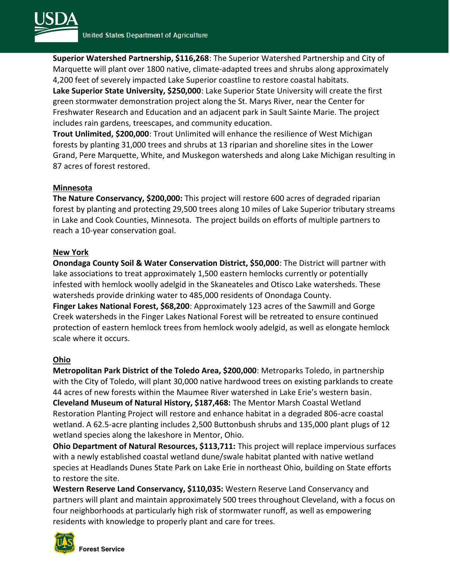

**Superior Watershed Partnership, \$116,268**: The Superior Watershed Partnership and City of Marquette will plant over 1800 native, climate-adapted trees and shrubs along approximately 4,200 feet of severely impacted Lake Superior coastline to restore coastal habitats.

**Lake Superior State University, \$250,000**: Lake Superior State University will create the first green stormwater demonstration project along the St. Marys River, near the Center for Freshwater Research and Education and an adjacent park in Sault Sainte Marie. The project includes rain gardens, treescapes, and community education.

**Trout Unlimited, \$200,000**: Trout Unlimited will enhance the resilience of West Michigan forests by planting 31,000 trees and shrubs at 13 riparian and shoreline sites in the Lower Grand, Pere Marquette, White, and Muskegon watersheds and along Lake Michigan resulting in 87 acres of forest restored.

### **Minnesota**

**The Nature Conservancy, \$200,000:** This project will restore 600 acres of degraded riparian forest by planting and protecting 29,500 trees along 10 miles of Lake Superior tributary streams in Lake and Cook Counties, Minnesota. The project builds on efforts of multiple partners to reach a 10-year conservation goal.

### **New York**

**Onondaga County Soil & Water Conservation District, \$50,000**: The District will partner with lake associations to treat approximately 1,500 eastern hemlocks currently or potentially infested with hemlock woolly adelgid in the Skaneateles and Otisco Lake watersheds. These watersheds provide drinking water to 485,000 residents of Onondaga County. **Finger Lakes National Forest, \$68,200**: Approximately 123 acres of the Sawmill and Gorge Creek watersheds in the Finger Lakes National Forest will be retreated to ensure continued protection of eastern hemlock trees from hemlock wooly adelgid, as well as elongate hemlock scale where it occurs.

#### **Ohio**

**Metropolitan Park District of the Toledo Area, \$200,000**: Metroparks Toledo, in partnership with the City of Toledo, will plant 30,000 native hardwood trees on existing parklands to create 44 acres of new forests within the Maumee River watershed in Lake Erie's western basin. **Cleveland Museum of Natural History, \$187,468:** The Mentor Marsh Coastal Wetland Restoration Planting Project will restore and enhance habitat in a degraded 806-acre coastal wetland. A 62.5-acre planting includes 2,500 Buttonbush shrubs and 135,000 plant plugs of 12 wetland species along the lakeshore in Mentor, Ohio.

**Ohio Department of Natural Resources, \$113,711:** This project will replace impervious surfaces with a newly established coastal wetland dune/swale habitat planted with native wetland species at Headlands Dunes State Park on Lake Erie in northeast Ohio, building on State efforts to restore the site.

**Western Reserve Land Conservancy, \$110,035:** Western Reserve Land Conservancy and partners will plant and maintain approximately 500 trees throughout Cleveland, with a focus on four neighborhoods at particularly high risk of stormwater runoff, as well as empowering residents with knowledge to properly plant and care for trees.